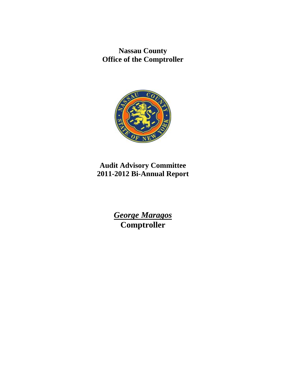**Nassau County Office of the Comptroller** 



# **Audit Advisory Committee 2011-2012 Bi-Annual Report**

*George Maragos*  **Comptroller**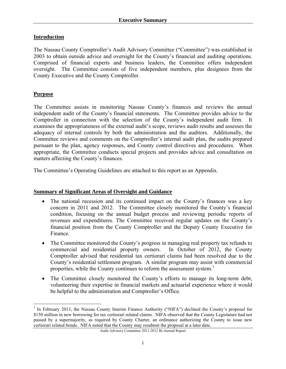# **Introduction**

The Nassau County Comptroller's Audit Advisory Committee ("Committee") was established in 2003 to obtain outside advice and oversight for the County's financial and auditing operations. Comprised of financial experts and business leaders, the Committee offers independent oversight. The Committee consists of five independent members, plus designees from the County Executive and the County Comptroller.

# **Purpose**

The Committee assists in monitoring Nassau County's finances and reviews the annual independent audit of the County's financial statements. The Committee provides advice to the Comptroller in connection with the selection of the County's independent audit firm. It examines the appropriateness of the external audit's scope, reviews audit results and assesses the adequacy of internal controls by both the administration and the auditors. Additionally, the Committee reviews and comments on the Comptroller's internal audit plan, the audits prepared pursuant to the plan, agency responses, and County control directives and procedures. When appropriate, the Committee conducts special projects and provides advice and consultation on matters affecting the County's finances.

The Committee's Operating Guidelines are attached to this report as an Appendix.

#### **Summary of Significant Areas of Oversight and Guidance**

- The national recession and its continued impact on the County's finances was a key concern in 2011 and 2012. The Committee closely monitored the County's financial condition, focusing on the annual budget process and reviewing periodic reports of revenues and expenditures. The Committee received regular updates on the County's financial position from the County Comptroller and the Deputy County Executive for Finance.
- The Committee monitored the County's progress in managing real property tax refunds to commercial and residential property owners. In October of 2012, the County Comptroller advised that residential tax certiorari claims had been resolved due to the County's residential settlement program. A similar program may assist with commercial properties, while the County continues to reform the assessment system.<sup>1</sup>
- The Committee closely monitored the County's efforts to manage its long-term debt, volunteering their expertise in financial markets and actuarial experience where it would be helpful to the administration and Comptroller's Office.

<sup>&</sup>lt;sup>1</sup> In February 2013, the Nassau County Interim Finance Authority ("NIFA") declined the County's proposal for \$150 million in new borrowing for tax certiorari related claims. NIFA observed that the County Legislature had not passed by a supermajority, as required by County Charter, an ordinance authorizing the County to issue new certiorari related bonds. NIFA noted that the County may resubmit the proposal at a later date.

Audit Advisory Committee 2011-2012 Bi-Annual Report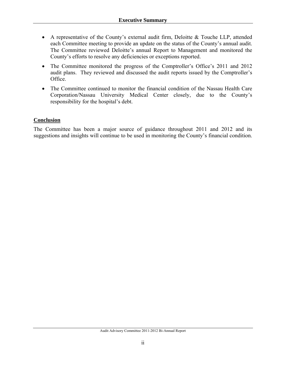- A representative of the County's external audit firm, Deloitte & Touche LLP, attended each Committee meeting to provide an update on the status of the County's annual audit. The Committee reviewed Deloitte's annual Report to Management and monitored the County's efforts to resolve any deficiencies or exceptions reported.
- The Committee monitored the progress of the Comptroller's Office's 2011 and 2012 audit plans. They reviewed and discussed the audit reports issued by the Comptroller's Office.
- The Committee continued to monitor the financial condition of the Nassau Health Care Corporation/Nassau University Medical Center closely, due to the County's responsibility for the hospital's debt.

# **Conclusion**

The Committee has been a major source of guidance throughout 2011 and 2012 and its suggestions and insights will continue to be used in monitoring the County's financial condition.

Audit Advisory Committee 2011-2012 Bi-Annual Report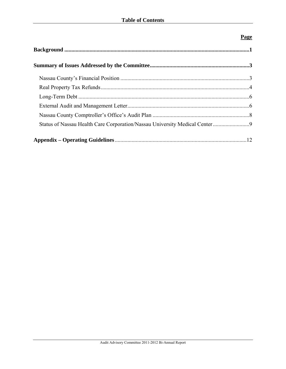# **Page**

| Status of Nassau Health Care Corporation/Nassau University Medical Center 9 |  |
|-----------------------------------------------------------------------------|--|
|                                                                             |  |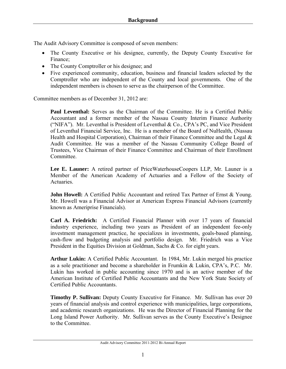The Audit Advisory Committee is composed of seven members:

- The County Executive or his designee, currently, the Deputy County Executive for Finance;
- The County Comptroller or his designee; and
- Five experienced community, education, business and financial leaders selected by the Comptroller who are independent of the County and local governments. One of the independent members is chosen to serve as the chairperson of the Committee.

Committee members as of December 31, 2012 are:

**Paul Leventhal:** Serves as the Chairman of the Committee. He is a Certified Public Accountant and a former member of the Nassau County Interim Finance Authority ("NIFA"). Mr. Leventhal is President of Leventhal & Co., CPA's PC, and Vice President of Leventhal Financial Service, Inc. He is a member of the Board of NuHealth, (Nassau Health and Hospital Corporation), Chairman of their Finance Committee and the Legal  $\&$ Audit Committee. He was a member of the Nassau Community College Board of Trustees, Vice Chairman of their Finance Committee and Chairman of their Enrollment **Committee** 

**Lee E. Launer:** A retired partner of PriceWaterhouseCoopers LLP, Mr. Launer is a Member of the American Academy of Actuaries and a Fellow of the Society of Actuaries.

John Howell: A Certified Public Accountant and retired Tax Partner of Ernst & Young. Mr. Howell was a Financial Advisor at American Express Financial Advisors (currently known as Ameriprise Financials).

**Carl A. Friedrich:** A Certified Financial Planner with over 17 years of financial industry experience, including two years as President of an independent fee-only investment management practice, he specializes in investments, goals-based planning, cash-flow and budgeting analysis and portfolio design. Mr. Friedrich was a Vice President in the Equities Division at Goldman, Sachs & Co. for eight years.

**Arthur Lukin:** A Certified Public Accountant. In 1984, Mr. Lukin merged his practice as a sole practitioner and become a shareholder in Frumkin & Lukin, CPA's, P.C. Mr. Lukin has worked in public accounting since 1970 and is an active member of the American Institute of Certified Public Accountants and the New York State Society of Certified Public Accountants.

**Timothy P. Sullivan:** Deputy County Executive for Finance. Mr. Sullivan has over 20 years of financial analysis and control experience with municipalities, large corporations, and academic research organizations. He was the Director of Financial Planning for the Long Island Power Authority. Mr. Sullivan serves as the County Executive's Designee to the Committee.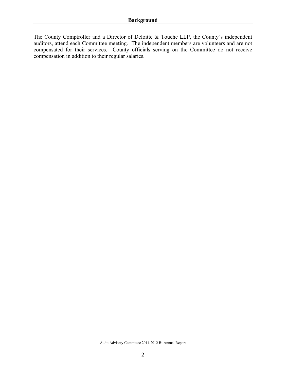The County Comptroller and a Director of Deloitte & Touche LLP, the County's independent auditors, attend each Committee meeting. The independent members are volunteers and are not compensated for their services. County officials serving on the Committee do not receive compensation in addition to their regular salaries.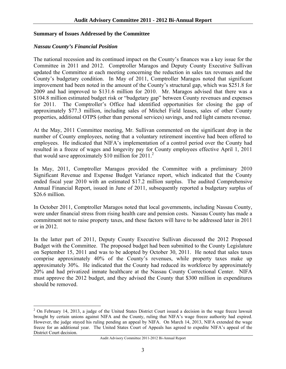#### **Summary of Issues Addressed by the Committee**

#### *Nassau County's Financial Position*

The national recession and its continued impact on the County's finances was a key issue for the Committee in 2011 and 2012. Comptroller Maragos and Deputy County Executive Sullivan updated the Committee at each meeting concerning the reduction in sales tax revenues and the County's budgetary condition. In May of 2011, Comptroller Maragos noted that significant improvement had been noted in the amount of the County's structural gap, which was \$251.8 for 2009 and had improved to \$131.6 million for 2010. Mr. Maragos advised that there was a \$104.8 million estimated budget risk or "budgetary gap" between County revenues and expenses for 2011. The Comptroller's Office had identified opportunities for closing the gap of approximately \$77.3 million, including sales of Mitchel Field leases, sales of other County properties, additional OTPS (other than personal services) savings, and red light camera revenue.

At the May, 2011 Committee meeting, Mr. Sullivan commented on the significant drop in the number of County employees, noting that a voluntary retirement incentive had been offered to employees. He indicated that NIFA's implementation of a control period over the County had resulted in a freeze of wages and longevity pay for County employees effective April 1, 2011 that would save approximately  $$10$  million for  $2011$ .<sup>2</sup>

In May, 2011, Comptroller Maragos provided the Committee with a preliminary 2010 Significant Revenue and Expense Budget Variance report, which indicated that the County ended fiscal year 2010 with an estimated \$17.2 million surplus. The audited Comprehensive Annual Financial Report, issued in June of 2011, subsequently reported a budgetary surplus of \$26.6 million.

In October 2011, Comptroller Maragos noted that local governments, including Nassau County, were under financial stress from rising health care and pension costs. Nassau County has made a commitment not to raise property taxes, and these factors will have to be addressed later in 2011 or in 2012.

In the latter part of 2011, Deputy County Executive Sullivan discussed the 2012 Proposed Budget with the Committee. The proposed budget had been submitted to the County Legislature on September 15, 2011 and was to be adopted by October 30, 2011. He noted that sales taxes comprise approximately 40% of the County's revenues, while property taxes make up approximately 30%. He indicated that the County had reduced its workforce by approximately 20% and had privatized inmate healthcare at the Nassau County Correctional Center. NIFA must approve the 2012 budget, and they advised the County that \$300 million in expenditures should be removed.

<sup>1</sup>  $2$  On February 14, 2013, a judge of the United States District Court issued a decision in the wage freeze lawsuit brought by certain unions against NIFA and the County, ruling that NIFA's wage freeze authority had expired. However, the judge stayed his ruling pending an appeal by NIFA. On March 14, 2013, NIFA extended the wage freeze for an additional year. The United States Court of Appeals has agreed to expedite NIFA's appeal of the District Court decision.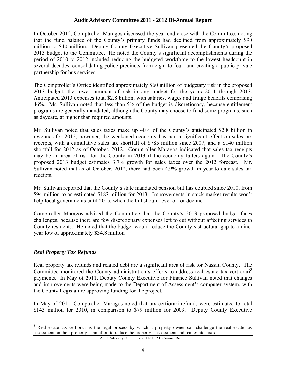In October 2012, Comptroller Maragos discussed the year-end close with the Committee, noting that the fund balance of the County's primary funds had declined from approximately \$90 million to \$40 million. Deputy County Executive Sullivan presented the County's proposed 2013 budget to the Committee. He noted the County's significant accomplishments during the period of 2010 to 2012 included reducing the budgeted workforce to the lowest headcount in several decades, consolidating police precincts from eight to four, and creating a public-private partnership for bus services.

The Comptroller's Office identified approximately \$60 million of budgetary risk in the proposed 2013 budget, the lowest amount of risk in any budget for the years 2011 through 2013. Anticipated 2013 expenses total \$2.8 billion, with salaries, wages and fringe benefits comprising 46%. Mr. Sullivan noted that less than 5% of the budget is discretionary, because entitlement programs are generally mandated, although the County may choose to fund some programs, such as daycare, at higher than required amounts.

Mr. Sullivan noted that sales taxes make up 40% of the County's anticipated \$2.8 billion in revenues for 2012; however, the weakened economy has had a significant effect on sales tax receipts, with a cumulative sales tax shortfall of \$785 million since 2007, and a \$140 million shortfall for 2012 as of October, 2012. Comptroller Maragos indicated that sales tax receipts may be an area of risk for the County in 2013 if the economy falters again. The County's proposed 2013 budget estimates 3.7% growth for sales taxes over the 2012 forecast. Mr. Sullivan noted that as of October, 2012, there had been 4.9% growth in year-to-date sales tax receipts.

Mr. Sullivan reported that the County's state mandated pension bill has doubled since 2010, from \$94 million to an estimated \$187 million for 2013. Improvements in stock market results won't help local governments until 2015, when the bill should level off or decline.

Comptroller Maragos advised the Committee that the County's 2013 proposed budget faces challenges, because there are few discretionary expenses left to cut without affecting services to County residents. He noted that the budget would reduce the County's structural gap to a nineyear low of approximately \$34.8 million.

# *Real Property Tax Refunds*

1

Real property tax refunds and related debt are a significant area of risk for Nassau County. The Committee monitored the County administration's efforts to address real estate tax certiorari<sup>3</sup> payments. In May of 2011, Deputy County Executive for Finance Sullivan noted that changes and improvements were being made to the Department of Assessment's computer system, with the County Legislature approving funding for the project.

In May of 2011, Comptroller Maragos noted that tax certiorari refunds were estimated to total \$143 million for 2010, in comparison to \$79 million for 2009. Deputy County Executive

<sup>&</sup>lt;sup>3</sup> Real estate tax certiorari is the legal process by which a property owner can challenge the real estate tax assessment on their property in an effort to reduce the property's assessment and real estate taxes.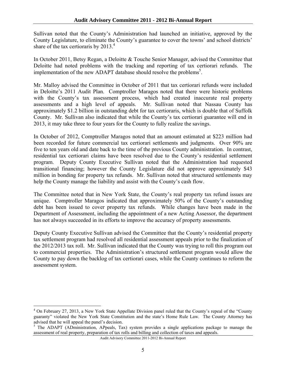Sullivan noted that the County's Administration had launched an initiative, approved by the County Legislature, to eliminate the County's guarantee to cover the towns' and school districts' share of the tax certioraris by  $2013<sup>4</sup>$ .

In October 2011, Betsy Regan, a Deloitte & Touche Senior Manager, advised the Committee that Deloitte had noted problems with the tracking and reporting of tax certiorari refunds. The implementation of the new ADAPT database should resolve the problems<sup>5</sup>.

Mr. Malloy advised the Committee in October of 2011 that tax certiorari refunds were included in Deloitte's 2011 Audit Plan. Comptroller Maragos noted that there were historic problems with the County's tax assessment process, which had created inaccurate real property assessments and a high level of appeals. Mr. Sullivan noted that Nassau County has approximately \$1.2 billion in outstanding debt for tax certioraris, which is double that of Suffolk County. Mr. Sullivan also indicated that while the County's tax certiorari guarantee will end in 2013, it may take three to four years for the County to fully realize the savings.

In October of 2012, Comptroller Maragos noted that an amount estimated at \$223 million had been recorded for future commercial tax certiorari settlements and judgments. Over 90% are five to ten years old and date back to the time of the previous County administration. In contrast, residential tax certiorari claims have been resolved due to the County's residential settlement program. Deputy County Executive Sullivan noted that the Administration had requested transitional financing; however the County Legislature did not approve approximately \$43 million in bonding for property tax refunds. Mr. Sullivan noted that structured settlements may help the County manage the liability and assist with the County's cash flow.

The Committee noted that in New York State, the County's real property tax refund issues are unique. Comptroller Maragos indicated that approximately 50% of the County's outstanding debt has been issued to cover property tax refunds. While changes have been made in the Department of Assessment, including the appointment of a new Acting Assessor, the department has not always succeeded in its efforts to improve the accuracy of property assessments.

Deputy County Executive Sullivan advised the Committee that the County's residential property tax settlement program had resolved all residential assessment appeals prior to the finalization of the 2012/2013 tax roll. Mr. Sullivan indicated that the County was trying to roll this program out to commercial properties. The Administration's structured settlement program would allow the County to pay down the backlog of tax certiorari cases, while the County continues to reform the assessment system.

 $\overline{a}$ 

<sup>&</sup>lt;sup>4</sup> On February 27, 2013, a New York State Appellate Division panel ruled that the County's repeal of the "County guaranty" violated the New York State Constitution and the state's Home Rule Law. The County Attorney has advised that he will appeal the panel's decision.<br><sup>5</sup> The ADAPT (ADministration, APpeals, Tax) system provides a single applications package to manage the

assessment of real property, preparation of tax rolls and billing and collection of taxes and appeals.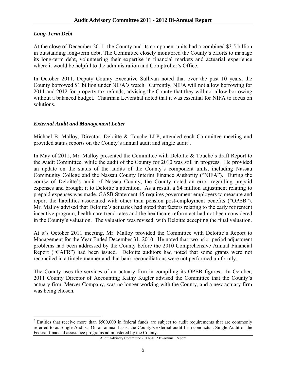# *Long-Term Debt*

<u>.</u>

At the close of December 2011, the County and its component units had a combined \$3.5 billion in outstanding long-term debt. The Committee closely monitored the County's efforts to manage its long-term debt, volunteering their expertise in financial markets and actuarial experience where it would be helpful to the administration and Comptroller's Office.

In October 2011, Deputy County Executive Sullivan noted that over the past 10 years, the County borrowed \$1 billion under NIFA's watch. Currently, NIFA will not allow borrowing for 2011 and 2012 for property tax refunds, advising the County that they will not allow borrowing without a balanced budget. Chairman Leventhal noted that it was essential for NIFA to focus on solutions.

# *External Audit and Management Letter*

Michael B. Malloy, Director, Deloitte & Touche LLP, attended each Committee meeting and provided status reports on the County's annual audit and single audit<sup>6</sup>.

In May of 2011, Mr. Malloy presented the Committee with Deloitte & Touche's draft Report to the Audit Committee, while the audit of the County for 2010 was still in progress. He provided an update on the status of the audits of the County's component units, including Nassau Community College and the Nassau County Interim Finance Authority ("NIFA"). During the course of Deloitte's audit of Nassau County, the County noted an error regarding prepaid expenses and brought it to Deloitte's attention. As a result, a \$4 million adjustment relating to prepaid expenses was made. GASB Statement 45 requires government employers to measure and report the liabilities associated with other than pension post-employment benefits ("OPEB"). Mr. Malloy advised that Deloitte's actuaries had noted that factors relating to the early retirement incentive program, health care trend rates and the healthcare reform act had not been considered in the County's valuation. The valuation was revised, with Deloitte accepting the final valuation.

At it's October 2011 meeting, Mr. Malloy provided the Committee with Deloitte's Report to Management for the Year Ended December 31, 2010. He noted that two prior period adjustment problems had been addressed by the County before the 2010 Comprehensive Annual Financial Report ("CAFR") had been issued. Deloitte auditors had noted that some grants were not reconciled in a timely manner and that bank reconciliations were not performed uniformly.

The County uses the services of an actuary firm in compiling its OPEB figures. In October, 2011 County Director of Accounting Kathy Kugler advised the Committee that the County's actuary firm, Mercer Company, was no longer working with the County, and a new actuary firm was being chosen.

<sup>&</sup>lt;sup>6</sup> Entities that receive more than \$500,000 in federal funds are subject to audit requirements that are commonly referred to as Single Audits. On an annual basis, the County's external audit firm conducts a Single Audit of the Federal financial assistance programs administered by the County.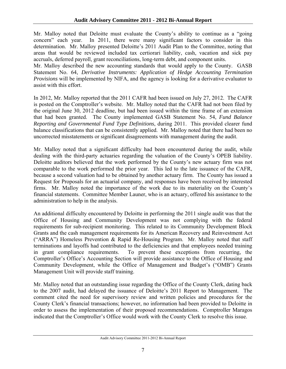Mr. Malloy noted that Deloitte must evaluate the County's ability to continue as a "going concern" each year. In 2011, there were many significant factors to consider in this determination. Mr. Malloy presented Deloitte's 2011 Audit Plan to the Committee, noting that areas that would be reviewed included tax certiorari liability, cash, vacation and sick pay accruals, deferred payroll, grant reconciliations, long-term debt, and component units.

Mr. Malloy described the new accounting standards that would apply to the County. GASB Statement No. 64, *Derivative Instruments: Application of Hedge Accounting Termination Provisions* will be implemented by NIFA, and the agency is looking for a derivative evaluator to assist with this effort.

In 2012, Mr. Malloy reported that the 2011 CAFR had been issued on July 27, 2012. The CAFR is posted on the Comptroller's website. Mr. Malloy noted that the CAFR had not been filed by the original June 30, 2012 deadline, but had been issued within the time frame of an extension that had been granted. The County implemented GASB Statement No. 54, *Fund Balance Reporting and Governmental Fund Type Definitions*, during 2011. This provided clearer fund balance classifications that can be consistently applied. Mr. Malloy noted that there had been no uncorrected misstatements or significant disagreements with management during the audit.

Mr. Malloy noted that a significant difficulty had been encountered during the audit, while dealing with the third-party actuaries regarding the valuation of the County's OPEB liability. Deloitte auditors believed that the work performed by the County's new actuary firm was not comparable to the work performed the prior year. This led to the late issuance of the CAFR, because a second valuation had to be obtained by another actuary firm. The County has issued a Request for Proposals for an actuarial company, and responses have been received by interested firms. Mr. Malloy noted the importance of the work due to its materiality on the County's financial statements. Committee Member Launer, who is an actuary, offered his assistance to the administration to help in the analysis.

An additional difficulty encountered by Deloitte in performing the 2011 single audit was that the Office of Housing and Community Development was not complying with the federal requirements for sub-recipient monitoring. This related to its Community Development Block Grants and the cash management requirements for its American Recovery and Reinvestment Act ("ARRA") Homeless Prevention & Rapid Re-Housing Program. Mr. Malloy noted that staff terminations and layoffs had contributed to the deficiencies and that employees needed training in grant compliance requirements. To prevent these exceptions from recurring, the Comptroller's Office's Accounting Section will provide assistance to the Office of Housing and Community Development, while the Office of Management and Budget's ("OMB") Grants Management Unit will provide staff training.

Mr. Malloy noted that an outstanding issue regarding the Office of the County Clerk, dating back to the 2007 audit, had delayed the issuance of Deloitte's 2011 Report to Management. The comment cited the need for supervisory review and written policies and procedures for the County Clerk's financial transactions; however, no information had been provided to Deloitte in order to assess the implementation of their proposed recommendations. Comptroller Maragos indicated that the Comptroller's Office would work with the County Clerk to resolve this issue.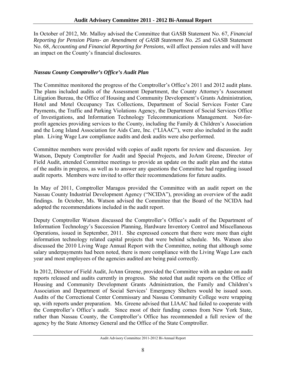In October of 2012, Mr. Malloy advised the Committee that GASB Statement No. 67, *Financial Reporting for Pension Plans- an Amendment of GASB Statement No. 25* and GASB Statement No. 68, *Accounting and Financial Reporting for Pensions,* will affect pension rules and will have an impact on the County's financial disclosures.

# *Nassau County Comptroller's Office's Audit Plan*

The Committee monitored the progress of the Comptroller's Office's 2011 and 2012 audit plans. The plans included audits of the Assessment Department, the County Attorney's Assessment Litigation Bureau, the Office of Housing and Community Development's Grants Administration, Hotel and Motel Occupancy Tax Collections, Department of Social Services Foster Care Payments, the Traffic and Parking Violations Agency, the Department of Social Services Office of Investigations, and Information Technology Telecommunications Management. Not-forprofit agencies providing services to the County, including the Family & Children's Association and the Long Island Association for Aids Care, Inc. ("LIAAC"), were also included in the audit plan. Living Wage Law compliance audits and desk audits were also performed.

Committee members were provided with copies of audit reports for review and discussion. Joy Watson, Deputy Comptroller for Audit and Special Projects, and JoAnn Greene, Director of Field Audit, attended Committee meetings to provide an update on the audit plan and the status of the audits in progress, as well as to answer any questions the Committee had regarding issued audit reports. Members were invited to offer their recommendations for future audits.

In May of 2011, Comptroller Maragos provided the Committee with an audit report on the Nassau County Industrial Development Agency ("NCIDA"), providing an overview of the audit findings. In October, Ms. Watson advised the Committee that the Board of the NCIDA had adopted the recommendations included in the audit report.

Deputy Comptroller Watson discussed the Comptroller's Office's audit of the Department of Information Technology's Succession Planning, Hardware Inventory Control and Miscellaneous Operations, issued in September, 2011. She expressed concern that there were more than eight information technology related capital projects that were behind schedule. Ms. Watson also discussed the 2010 Living Wage Annual Report with the Committee, noting that although some salary underpayments had been noted, there is more compliance with the Living Wage Law each year and most employees of the agencies audited are being paid correctly.

In 2012, Director of Field Audit, JoAnn Greene, provided the Committee with an update on audit reports released and audits currently in progress. She noted that audit reports on the Office of Housing and Community Development Grants Administration, the Family and Children's Association and Department of Social Services' Emergency Shelters would be issued soon. Audits of the Correctional Center Commissary and Nassau Community College were wrapping up, with reports under preparation. Ms. Greene advised that LIAAC had failed to cooperate with the Comptroller's Office's audit. Since most of their funding comes from New York State, rather than Nassau County, the Comptroller's Office has recommended a full review of the agency by the State Attorney General and the Office of the State Comptroller.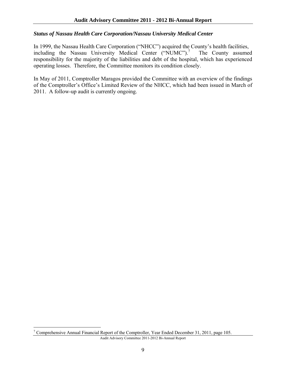# *Status of Nassau Health Care Corporation/Nassau University Medical Center*

In 1999, the Nassau Health Care Corporation ("NHCC") acquired the County's health facilities, including the Nassau University Medical Center ("NUMC").<sup>7</sup> The County assumed responsibility for the majority of the liabilities and debt of the hospital, which has experienced operating losses. Therefore, the Committee monitors its condition closely.

In May of 2011, Comptroller Maragos provided the Committee with an overview of the findings of the Comptroller's Office's Limited Review of the NHCC, which had been issued in March of 2011. A follow-up audit is currently ongoing.

 $\overline{a}$ 

<sup>&</sup>lt;sup>7</sup> Comprehensive Annual Financial Report of the Comptroller, Year Ended December 31, 2011, page 105.

Audit Advisory Committee 2011-2012 Bi-Annual Report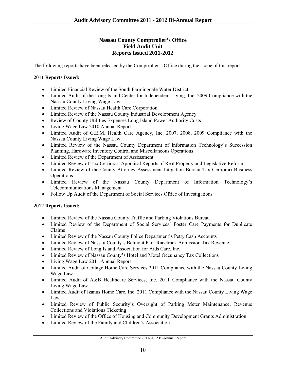## **Nassau County Comptroller's Office Field Audit Unit Reports Issued 2011-2012**

The following reports have been released by the Comptroller's Office during the scope of this report.

## **2011 Reports Issued:**

- Limited Financial Review of the South Farmingdale Water District
- Limited Audit of the Long Island Center for Independent Living, Inc. 2009 Compliance with the Nassau County Living Wage Law
- Limited Review of Nassau Health Care Corporation
- Limited Review of the Nassau County Industrial Development Agency
- Review of County Utilities Expenses Long Island Power Authority Costs
- Living Wage Law 2010 Annual Report
- Limited Audit of G.E.M. Health Care Agency, Inc. 2007, 2008, 2009 Compliance with the Nassau County Living Wage Law
- Limited Review of the Nassau County Department of Information Technology's Succession Planning, Hardware Inventory Control and Miscellaneous Operations
- Limited Review of the Department of Assessment
- Limited Review of Tax Certiorari Appraisal Reports of Real Property and Legislative Reform
- Limited Review of the County Attorney Assessment Litigation Bureau Tax Certiorari Business **Operations**
- Limited Review of the Nassau County Department of Information Technology's Telecommunications Management
- Follow Up Audit of the Department of Social Services Office of Investigations

#### **2012 Reports Issued:**

- Limited Review of the Nassau County Traffic and Parking Violations Bureau
- Limited Review of the Department of Social Services' Foster Care Payments for Duplicate Claims
- Limited Review of the Nassau County Police Department's Petty Cash Accounts
- Limited Review of Nassau County's Belmont Park Racetrack Admission Tax Revenue
- Limited Review of Long Island Association for Aids Care, Inc.
- Limited Review of Nassau County's Hotel and Motel Occupancy Tax Collections
- Living Wage Law 2011 Annual Report
- Limited Audit of Cottage Home Care Services 2011 Compliance with the Nassau County Living Wage Law
- Limited Audit of A&B Healthcare Services, Inc. 2011 Compliance with the Nassau County Living Wage Law
- Limited Audit of Jzanus Home Care, Inc. 2011 Compliance with the Nassau County Living Wage Law
- Limited Review of Public Security's Oversight of Parking Meter Maintenance, Revenue Collections and Violations Ticketing
- Limited Review of the Office of Housing and Community Development Grants Administration
- Limited Review of the Family and Children's Association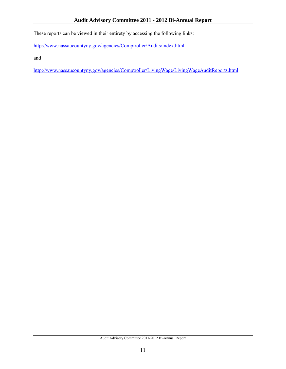These reports can be viewed in their entirety by accessing the following links:

http://www.nassaucountyny.gov/agencies/Comptroller/Audits/index.html

and

http://www.nassaucountyny.gov/agencies/Comptroller/LivingWage/LivingWageAuditReports.html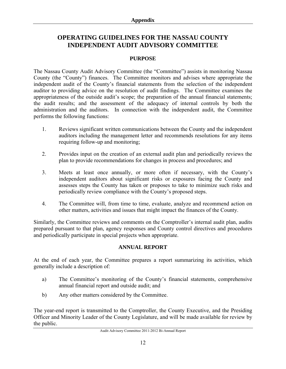# **OPERATING GUIDELINES FOR THE NASSAU COUNTY INDEPENDENT AUDIT ADVISORY COMMITTEE**

## **PURPOSE**

The Nassau County Audit Advisory Committee (the "Committee") assists in monitoring Nassau County (the "County") finances. The Committee monitors and advises where appropriate the independent audit of the County's financial statements from the selection of the independent auditor to providing advice on the resolution of audit findings. The Committee examines the appropriateness of the outside audit's scope; the preparation of the annual financial statements; the audit results; and the assessment of the adequacy of internal controls by both the administration and the auditors. In connection with the independent audit, the Committee performs the following functions:

- 1. Reviews significant written communications between the County and the independent auditors including the management letter and recommends resolutions for any items requiring follow-up and monitoring;
- 2. Provides input on the creation of an external audit plan and periodically reviews the plan to provide recommendations for changes in process and procedures; and
- 3. Meets at least once annually, or more often if necessary, with the County's independent auditors about significant risks or exposures facing the County and assesses steps the County has taken or proposes to take to minimize such risks and periodically review compliance with the County's proposed steps.
- 4. The Committee will, from time to time, evaluate, analyze and recommend action on other matters, activities and issues that might impact the finances of the County.

Similarly, the Committee reviews and comments on the Comptroller's internal audit plan, audits prepared pursuant to that plan, agency responses and County control directives and procedures and periodically participate in special projects when appropriate.

#### **ANNUAL REPORT**

At the end of each year, the Committee prepares a report summarizing its activities, which generally include a description of:

- a) The Committee's monitoring of the County's financial statements, comprehensive annual financial report and outside audit; and
- b) Any other matters considered by the Committee.

The year-end report is transmitted to the Comptroller, the County Executive, and the Presiding Officer and Minority Leader of the County Legislature, and will be made available for review by the public.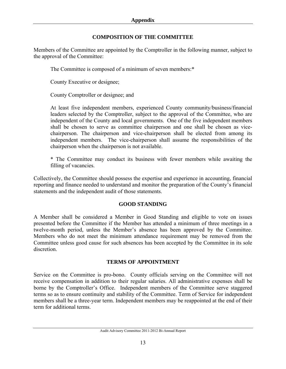# **COMPOSITION OF THE COMMITTEE**

Members of the Committee are appointed by the Comptroller in the following manner, subject to the approval of the Committee:

The Committee is composed of a minimum of seven members:\*

County Executive or designee;

County Comptroller or designee; and

At least five independent members, experienced County community/business/financial leaders selected by the Comptroller, subject to the approval of the Committee, who are independent of the County and local governments. One of the five independent members shall be chosen to serve as committee chairperson and one shall be chosen as vicechairperson. The chairperson and vice-chairperson shall be elected from among its independent members. The vice-chairperson shall assume the responsibilities of the chairperson when the chairperson is not available.

\* The Committee may conduct its business with fewer members while awaiting the filling of vacancies.

Collectively, the Committee should possess the expertise and experience in accounting, financial reporting and finance needed to understand and monitor the preparation of the County's financial statements and the independent audit of those statements.

# **GOOD STANDING**

A Member shall be considered a Member in Good Standing and eligible to vote on issues presented before the Committee if the Member has attended a minimum of three meetings in a twelve-month period, unless the Member's absence has been approved by the Committee. Members who do not meet the minimum attendance requirement may be removed from the Committee unless good cause for such absences has been accepted by the Committee in its sole discretion.

# **TERMS OF APPOINTMENT**

Service on the Committee is pro-bono. County officials serving on the Committee will not receive compensation in addition to their regular salaries. All administrative expenses shall be borne by the Comptroller's Office. Independent members of the Committee serve staggered terms so as to ensure continuity and stability of the Committee. Term of Service for independent members shall be a three-year term. Independent members may be reappointed at the end of their term for additional terms.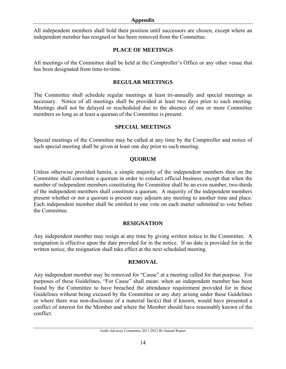#### **Appendix**

All independent members shall hold their position until successors are chosen, except where an independent member has resigned or has been removed from the Committee.

#### **PLACE OF MEETINGS**

All meetings of the Committee shall be held at the Comptroller's Office or any other venue that has been designated from time-to-time.

## **REGULAR MEETINGS**

The Committee shall schedule regular meetings at least tri-annually and special meetings as necessary. Notice of all meetings shall be provided at least two days prior to such meeting. Meetings shall not be delayed or rescheduled due to the absence of one or more Committee members so long as at least a quorum of the Committee is present.

#### **SPECIAL MEETINGS**

Special meetings of the Committee may be called at any time by the Comptroller and notice of such special meeting shall be given at least one day prior to such meeting.

# **QUORUM**

Unless otherwise provided herein, a simple majority of the independent members then on the Committee shall constitute a quorum in order to conduct official business, except that when the number of independent members constituting the Committee shall be an even number, two-thirds of the independent members shall constitute a quorum. A majority of the independent members present whether or not a quorum is present may adjourn any meeting to another time and place. Each independent member shall be entitled to one vote on each matter submitted to vote before the Committee.

# **RESIGNATION**

Any independent member may resign at any time by giving written notice to the Committee. A resignation is effective upon the date provided for in the notice. If no date is provided for in the written notice, the resignation shall take effect at the next scheduled meeting.

#### **REMOVAL**

Any independent member may be removed for "Cause" at a meeting called for that purpose. For purposes of these Guidelines, "For Cause" shall mean: when an independent member has been found by the Committee to have breached the attendance requirement provided for in these Guidelines without being excused by the Committee or any duty arising under these Guidelines or where there was non-disclosure of a material fact(s) that if known, would have presented a conflict of interest for the Member and where the Member should have reasonably known of the conflict.